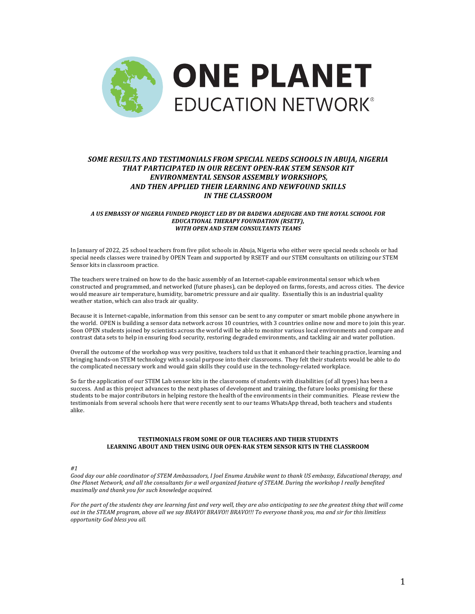

# **SOME RESULTS AND TESTIMONIALS FROM SPECIAL NEEDS SCHOOLS IN ABUIA, NIGERIA** *THAT PARTICIPATED IN OUR RECENT OPEN-RAK STEM SENSOR KIT ENVIRONMENTAL SENSOR ASSEMBLY WORKSHOPS, AND THEN APPLIED THEIR LEARNING AND NEWFOUND SKILLS IN THE CLASSROOM*

## *A US EMBASSY OF NIGERIA FUNDED PROJECT LED BY DR BADEWA ADEJUGBE AND THE ROYAL SCHOOL FOR*  **EDUCATIONAL THERAPY FOUNDATION (RSETF),** *WITH OPEN AND STEM CONSULTANTS TEAMS*

In January of 2022, 25 school teachers from five pilot schools in Abuja, Nigeria who either were special needs schools or had special needs classes were trained by OPEN Team and supported by RSETF and our STEM consultants on utilizing our STEM Sensor kits in classroom practice.

The teachers were trained on how to do the basic assembly of an Internet-capable environmental sensor which when constructed and programmed, and networked (future phases), can be deployed on farms, forests, and across cities. The device would measure air temperature, humidity, barometric pressure and air quality. Essentially this is an industrial quality weather station, which can also track air quality.

Because it is Internet-capable, information from this sensor can be sent to any computer or smart mobile phone anywhere in the world. OPEN is building a sensor data network across 10 countries, with 3 countries online now and more to join this year. Soon OPEN students joined by scientists across the world will be able to monitor various local environments and compare and contrast data sets to help in ensuring food security, restoring degraded environments, and tackling air and water pollution.

Overall the outcome of the workshop was very positive, teachers told us that it enhanced their teaching practice, learning and bringing hands-on STEM technology with a social purpose into their classrooms. They felt their students would be able to do the complicated necessary work and would gain skills they could use in the technology-related workplace.

So far the application of our STEM Lab sensor kits in the classrooms of students with disabilities (of all types) has been a success. And as this project advances to the next phases of development and training, the future looks promising for these students to be major contributors in helping restore the health of the environments in their communities. Please review the testimonials from several schools here that were recently sent to our teams WhatsApp thread, both teachers and students alike.

## **TESTIMONIALS FROM SOME OF OUR TEACHERS AND THEIR STUDENTS** LEARNING ABOUT AND THEN USING OUR OPEN-RAK STEM SENSOR KITS IN THE CLASSROOM

*#1*

Good day our able coordinator of STEM Ambassadors, I Joel Enuma Azubike want to thank US embassy, Educational therapy, and One Planet Network, and all the consultants for a well organized feature of STEAM. During the workshop I really benefited *maximally and thank you for such knowledge acquired.*

*For* the part of the students they are learning fast and very well, they are also anticipating to see the greatest thing that will come *out in the STEAM program, above all we say BRAVO! BRAVO!! BRAVO!!! To everyone thank you, ma and sir for this limitless opportunity God bless you all.*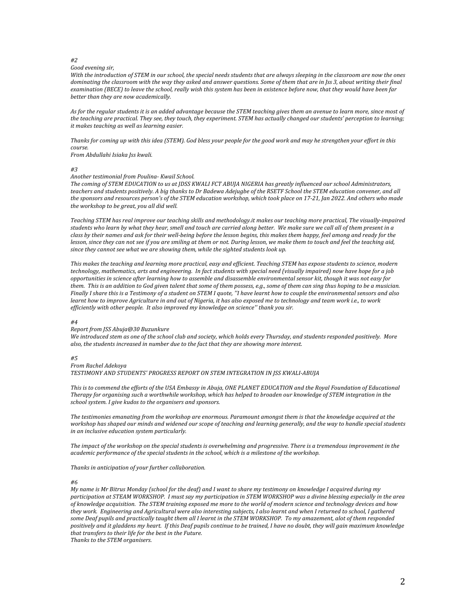#### *#2*

### *Good evening sir,*

*With* the introduction of STEM in our school, the special needs students that are always sleeping in the classroom are now the ones *dominating* the classroom with the way they asked and answer questions. Some of them that are in Jss 3, about writing their final *examination* (BECE) to leave the school, really wish this system has been in existence before now, that they would have been far better than they are now academically.

As for the regular students it is an added advantage because the STEM teaching gives them an avenue to learn more, since most of the teaching are practical. They see, they touch, they experiment. STEM has actually changed our students' perception to learning; *it* makes teaching as well as learning easier.

*Thanks for coming up with this idea* (STEM). God bless your people for the good work and may he strengthen your effort in this *course.*

*From Abdullahi Isiaka Jss kwali.*

*#3*

#### *Another testimonial from Poulina- Kwail School.*

The coming of STEM EDUCATION to us at JDSS KWALI FCT ABUJA NIGERIA has greatly influenced our school Administrators, teachers and students positively. A big thanks to Dr Badewa Adejugbe of the RSETF School the STEM education convener, and all the sponsors and resources person's of the STEM education workshop, which took place on 17-21, Jan 2022. And others who made *the workshop to be great, you all did well.* 

Teaching STEM has real improve our teaching skills and methodology.it makes our teaching more practical, The visually-impaired students who learn by what they hear, smell and touch are carried along better. We make sure we call all of them present in a class by their names and ask for their well-being before the lesson begins, this makes them happy, feel among and ready for the *lesson, since they can not see if you are smiling at them or not. During lesson, we make them to touch and feel the teaching aid,* since they cannot see what we are showing them, while the sighted students look up.

*This* makes the teaching and learning more practical, easy and efficient. Teaching STEM has expose students to science, modern technology, mathematics, arts and engineering. In fact students with special need (visually impaired) now have hope for a job *opportunities in science after learning how to assemble and disassemble environmental sensor kit, though it was not easy for* them. This is an addition to God given talent that some of them possess, e.g., some of them can sing thus hoping to be a musician. *Finally I share this is a Testimony of a student on STEM I quote, "I have learnt how to couple the environmental sensors and also learnt how to improve Agriculture in and out of Nigeria, it has also exposed me to technology and team work i.e., to work* efficiently with other people. It also improved my knowledge on science" thank you sir.

#### *#4*

### *Report from JSS Abuja@30 Buzunkure*

We introduced stem as one of the school club and society, which holds every Thursday, and students responded positively. More also, the students increased in number due to the fact that they are showing more interest.

## *#5*

#### *From Rachel Adekoya*

*TESTIMONY AND STUDENTS' PROGRESS REPORT ON STEM INTEGRATION IN JSS KWALI-ABUJA*

*This* is to commend the efforts of the USA Embassy in Abuja, ONE PLANET EDUCATION and the Royal Foundation of Educational *Therapy for organising such a worthwhile workshop, which has helped to broaden our knowledge of STEM integration in the school system. I give kudos to the organisers and sponsors.* 

The testimonies emanating from the workshop are enormous. Paramount amongst them is that the knowledge acquired at the *workshop* has shaped our minds and widened our scope of teaching and learning generally, and the way to handle special students *in an inclusive education system particularly.* 

The *impact* of the workshop on the special students is overwhelming and progressive. There is a tremendous improvement in the *academic performance of the special students in the school, which is a milestone of the workshop.*

#### Thanks in anticipation of your further collaboration.

#### *#6*

*My* name is Mr Bitrus Monday (school for the deaf) and I want to share my testimony on knowledge I acquired during my *participation at STEAM WORKSHOP. I must say my participation in STEM WORKSHOP was a divine blessing especially in the area* of knowledge acquisition. The STEM training exposed me more to the world of modern science and technology devices and how *they work. Engineering and Agricultural were also interesting subjects, I also learnt and when I returned to school, I gathered*  some Deaf pupils and practically taught them all I learnt in the STEM WORKSHOP. To my amazement, alot of them responded *positively* and it gladdens my heart. If this Deaf pupils continue to be trained, I have no doubt, they will gain maximum knowledge *that transfers to their life for the best in the Future.* 

**Thanks to the STEM organisers.**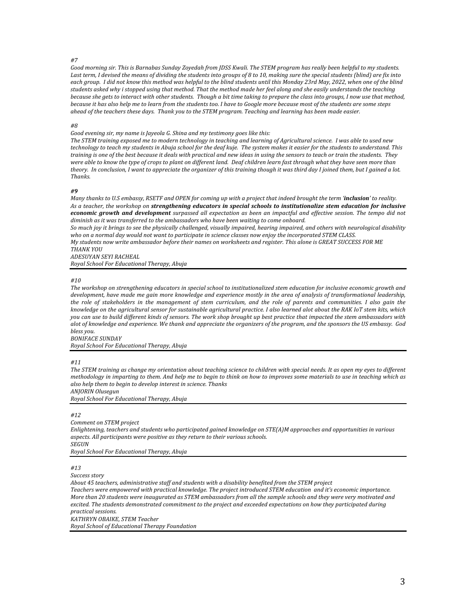## *#7*

Good morning sir. This is Barnabas Sunday Zoyedah from JDSS Kwali. The STEM program has really been helpful to my students. Last term, I devised the means of dividing the students into groups of 8 to 10, making sure the special students (blind) are fix into each group. I did not know this method was helpful to the blind students until this Monday 23rd May, 2022, when one of the blind students asked why i stopped using that method. That the method made her feel along and she easily understands the teaching *because she gets to interact with other students. Though a bit time taking to prepare the class into groups, I now use that method, because* it has also help me to learn from the students too. I have to Google more because most of the students are some steps *ahead of the teachers these days. Thank you to the STEM program. Teaching and learning has been made easier.*

#### *#8*

*Good evening sir, my name is Jayeola G. Shina and my testimony goes like this:* 

The STEM training exposed me to modern technology in teaching and learning of Agricultural science. I was able to used new *technology* to teach my students in Abuja school for the deaf kuje. The system makes it easier for the students to understand. This *training* is one of the best because it deals with practical and new ideas in using the sensors to teach or train the students. They *were able to know the type of crops to plant on different land.* Deaf children learn fast through what they have seen more than theory. In conclusion, I want to appreciate the organizer of this training though it was third day I joined them, but I gained a lot. *Thanks.*

## *#9*

*Many* thanks to U.S embassy, RSETF and OPEN for coming up with a project that indeed brought the term 'inclusion' to reality. As a teacher, the workshop on strengthening educators in special schools to institutionalize stem education for inclusive **economic** growth and development *surpassed all expectation* as been an impactful and effective session. The tempo did not *diminish as it was transferred to the ambassadors who have been waiting to come onboard.* 

So much joy it brings to see the physically challenged, visually impaired, hearing impaired, and others with neurological disability who on a normal day would not want to participate in science classes now enjoy the incorporated STEM CLASS. *My* students now write ambassador before their names on worksheets and register. This alone is GREAT SUCCESS FOR ME *THANK YOU*

*ADESUYAN SEYI RACHEAL*

*Royal School For Educational Therapy, Abuja*

## *#10*

The workshop on strengthening educators in special school to institutionalized stem education for inclusive economic growth and development, have made me gain more knowledge and experience mostly in the area of analysis of transformational leadership, the role of stakeholders in the management of stem curriculum, and the role of parents and communities. I also gain the *knowledge* on the agricultural sensor for sustainable agricultural practice. I also learned alot about the RAK IoT stem kits, which you can use to build different kinds of sensors. The work shop brought up best practice that impacted the stem ambassadors with alot of knowledge and experience. We thank and appreciate the organizers of the program, and the sponsors the US embassy. God *bless you.*

*BONIFACE SUNDAY Royal School For Educational Therapy, Abuja*

## *#11*

The STEM training as change my orientation about teaching science to children with special needs. It as open my eyes to different *methodology* in imparting to them. And help me to begin to think on how to improves some materials to use in teaching which as *also help them to begin to develop interest in science. Thanks*

*ANJORIN Olusegun*

*Royal School For Educational Therapy, Abuja*

## *#12*

*Comment on STEM project Enlightening, teachers and students who participated gained knowledge on STE(A)M approaches and opportunities in various* aspects. All participants were positive as they return to their various schools. *SEGUN Royal School For Educational Therapy, Abuja*

## *#13*

*Success story*

About 45 teachers, administrative staff and students with a disability benefited from the STEM project

Teachers were empowered with practical knowledge. The project introduced STEM education and it's economic importance. *More than 20 students were inaugurated as STEM ambassadors from all the sample schools and they were very motivated and excited.* The students demonstrated commitment to the project and exceeded expectations on how they participated during *practical sessions. KATHRYN OBAIKE, STEM Teacher*

*Royal School of Educational Therapy Foundation*